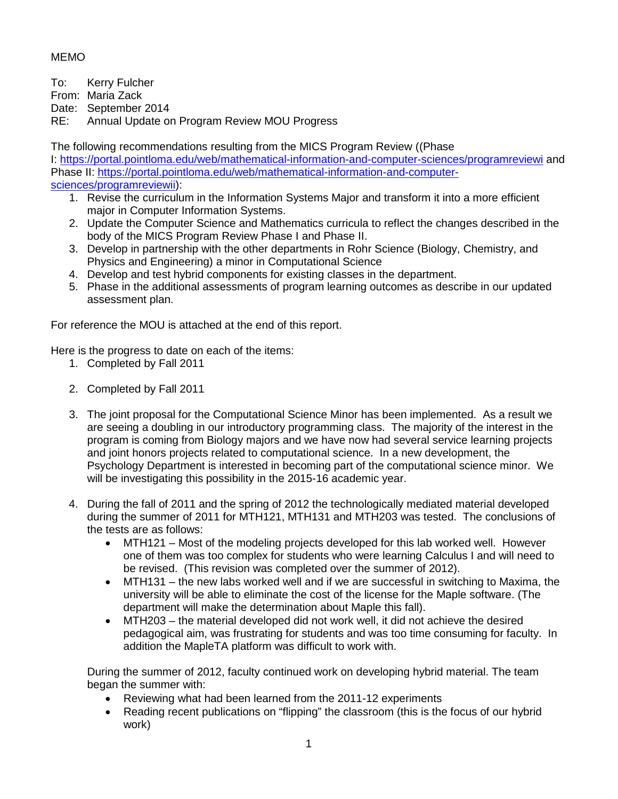## MEMO

To: Kerry Fulcher

From: Maria Zack

Date: September 2014

RE: Annual Update on Program Review MOU Progress

The following recommendations resulting from the MICS Program Review ((Phase I: <https://portal.pointloma.edu/web/mathematical-information-and-computer-sciences/programreviewi> and Phase II: [https://portal.pointloma.edu/web/mathematical-information-and-computer](https://portal.pointloma.edu/web/mathematical-information-and-computer-sciences/programreviewii)[sciences/programreviewii\)](https://portal.pointloma.edu/web/mathematical-information-and-computer-sciences/programreviewii):

- 1. Revise the curriculum in the Information Systems Major and transform it into a more efficient major in Computer Information Systems.
- 2. Update the Computer Science and Mathematics curricula to reflect the changes described in the body of the MICS Program Review Phase I and Phase II.
- 3. Develop in partnership with the other departments in Rohr Science (Biology, Chemistry, and Physics and Engineering) a minor in Computational Science
- 4. Develop and test hybrid components for existing classes in the department.
- 5. Phase in the additional assessments of program learning outcomes as describe in our updated assessment plan.

For reference the MOU is attached at the end of this report.

Here is the progress to date on each of the items:

- 1. Completed by Fall 2011
- 2. Completed by Fall 2011
- 3. The joint proposal for the Computational Science Minor has been implemented. As a result we are seeing a doubling in our introductory programming class. The majority of the interest in the program is coming from Biology majors and we have now had several service learning projects and joint honors projects related to computational science. In a new development, the Psychology Department is interested in becoming part of the computational science minor. We will be investigating this possibility in the 2015-16 academic year.
- 4. During the fall of 2011 and the spring of 2012 the technologically mediated material developed during the summer of 2011 for MTH121, MTH131 and MTH203 was tested. The conclusions of the tests are as follows:
	- MTH121 Most of the modeling projects developed for this lab worked well. However one of them was too complex for students who were learning Calculus I and will need to be revised. (This revision was completed over the summer of 2012).
	- MTH131 the new labs worked well and if we are successful in switching to Maxima, the university will be able to eliminate the cost of the license for the Maple software. (The department will make the determination about Maple this fall).
	- MTH203 the material developed did not work well, it did not achieve the desired pedagogical aim, was frustrating for students and was too time consuming for faculty. In addition the MapleTA platform was difficult to work with.

During the summer of 2012, faculty continued work on developing hybrid material. The team began the summer with:

- Reviewing what had been learned from the 2011-12 experiments
- Reading recent publications on "flipping" the classroom (this is the focus of our hybrid work)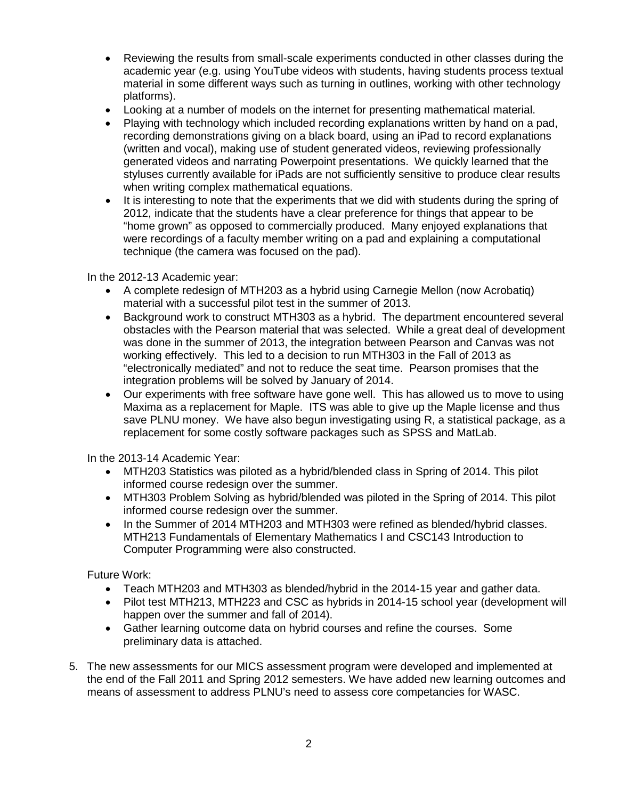- Reviewing the results from small-scale experiments conducted in other classes during the academic year (e.g. using YouTube videos with students, having students process textual material in some different ways such as turning in outlines, working with other technology platforms).
- Looking at a number of models on the internet for presenting mathematical material.
- Playing with technology which included recording explanations written by hand on a pad, recording demonstrations giving on a black board, using an iPad to record explanations (written and vocal), making use of student generated videos, reviewing professionally generated videos and narrating Powerpoint presentations. We quickly learned that the styluses currently available for iPads are not sufficiently sensitive to produce clear results when writing complex mathematical equations.
- It is interesting to note that the experiments that we did with students during the spring of 2012, indicate that the students have a clear preference for things that appear to be "home grown" as opposed to commercially produced. Many enjoyed explanations that were recordings of a faculty member writing on a pad and explaining a computational technique (the camera was focused on the pad).

#### In the 2012-13 Academic year:

- A complete redesign of MTH203 as a hybrid using Carnegie Mellon (now Acrobatiq) material with a successful pilot test in the summer of 2013.
- Background work to construct MTH303 as a hybrid. The department encountered several obstacles with the Pearson material that was selected. While a great deal of development was done in the summer of 2013, the integration between Pearson and Canvas was not working effectively. This led to a decision to run MTH303 in the Fall of 2013 as "electronically mediated" and not to reduce the seat time. Pearson promises that the integration problems will be solved by January of 2014.
- Our experiments with free software have gone well. This has allowed us to move to using Maxima as a replacement for Maple. ITS was able to give up the Maple license and thus save PLNU money. We have also begun investigating using R, a statistical package, as a replacement for some costly software packages such as SPSS and MatLab.

In the 2013-14 Academic Year:

- MTH203 Statistics was piloted as a hybrid/blended class in Spring of 2014. This pilot informed course redesign over the summer.
- MTH303 Problem Solving as hybrid/blended was piloted in the Spring of 2014. This pilot informed course redesign over the summer.
- In the Summer of 2014 MTH203 and MTH303 were refined as blended/hybrid classes. MTH213 Fundamentals of Elementary Mathematics I and CSC143 Introduction to Computer Programming were also constructed.

Future Work:

- Teach MTH203 and MTH303 as blended/hybrid in the 2014-15 year and gather data.
- Pilot test MTH213, MTH223 and CSC as hybrids in 2014-15 school year (development will happen over the summer and fall of 2014).
- Gather learning outcome data on hybrid courses and refine the courses. Some preliminary data is attached.
- 5. The new assessments for our MICS assessment program were developed and implemented at the end of the Fall 2011 and Spring 2012 semesters. We have added new learning outcomes and means of assessment to address PLNU's need to assess core competancies for WASC.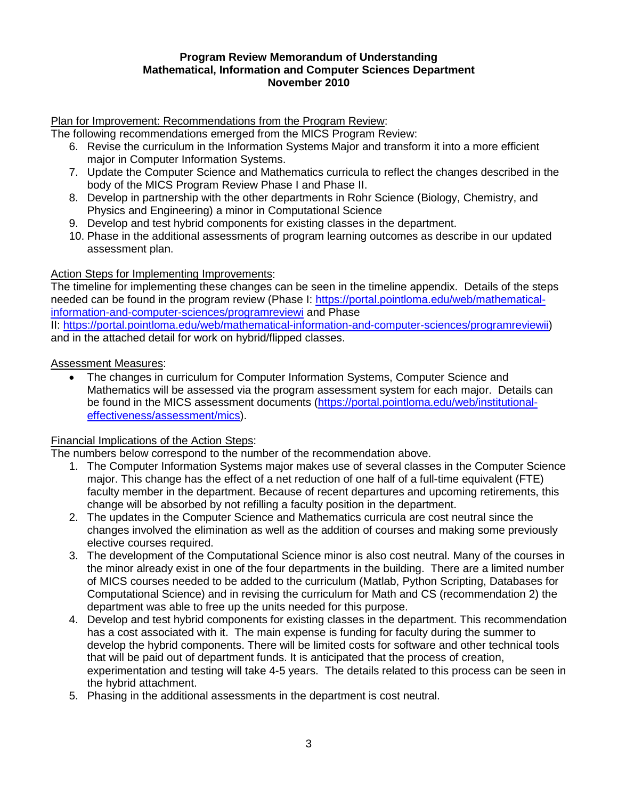#### **Program Review Memorandum of Understanding Mathematical, Information and Computer Sciences Department November 2010**

Plan for Improvement: Recommendations from the Program Review:

The following recommendations emerged from the MICS Program Review:

- 6. Revise the curriculum in the Information Systems Major and transform it into a more efficient major in Computer Information Systems.
- 7. Update the Computer Science and Mathematics curricula to reflect the changes described in the body of the MICS Program Review Phase I and Phase II.
- 8. Develop in partnership with the other departments in Rohr Science (Biology, Chemistry, and Physics and Engineering) a minor in Computational Science
- 9. Develop and test hybrid components for existing classes in the department.
- 10. Phase in the additional assessments of program learning outcomes as describe in our updated assessment plan.

#### Action Steps for Implementing Improvements:

The timeline for implementing these changes can be seen in the timeline appendix. Details of the steps needed can be found in the program review (Phase I: [https://portal.pointloma.edu/web/mathematical](https://portal.pointloma.edu/web/mathematical-information-and-computer-sciences/programreviewi)[information-and-computer-sciences/programreviewi](https://portal.pointloma.edu/web/mathematical-information-and-computer-sciences/programreviewi) and Phase

II: [https://portal.pointloma.edu/web/mathematical-information-and-computer-sciences/programreviewii\)](https://portal.pointloma.edu/web/mathematical-information-and-computer-sciences/programreviewii) and in the attached detail for work on hybrid/flipped classes.

Assessment Measures:

• The changes in curriculum for Computer Information Systems, Computer Science and Mathematics will be assessed via the program assessment system for each major. Details can be found in the MICS assessment documents [\(https://portal.pointloma.edu/web/institutional](https://portal.pointloma.edu/web/institutional-effectiveness/assessment/mics)[effectiveness/assessment/mics\)](https://portal.pointloma.edu/web/institutional-effectiveness/assessment/mics).

#### Financial Implications of the Action Steps:

The numbers below correspond to the number of the recommendation above.

- 1. The Computer Information Systems major makes use of several classes in the Computer Science major. This change has the effect of a net reduction of one half of a full-time equivalent (FTE) faculty member in the department. Because of recent departures and upcoming retirements, this change will be absorbed by not refilling a faculty position in the department.
- 2. The updates in the Computer Science and Mathematics curricula are cost neutral since the changes involved the elimination as well as the addition of courses and making some previously elective courses required.
- 3. The development of the Computational Science minor is also cost neutral. Many of the courses in the minor already exist in one of the four departments in the building. There are a limited number of MICS courses needed to be added to the curriculum (Matlab, Python Scripting, Databases for Computational Science) and in revising the curriculum for Math and CS (recommendation 2) the department was able to free up the units needed for this purpose.
- 4. Develop and test hybrid components for existing classes in the department. This recommendation has a cost associated with it. The main expense is funding for faculty during the summer to develop the hybrid components. There will be limited costs for software and other technical tools that will be paid out of department funds. It is anticipated that the process of creation, experimentation and testing will take 4-5 years. The details related to this process can be seen in the hybrid attachment.
- 5. Phasing in the additional assessments in the department is cost neutral.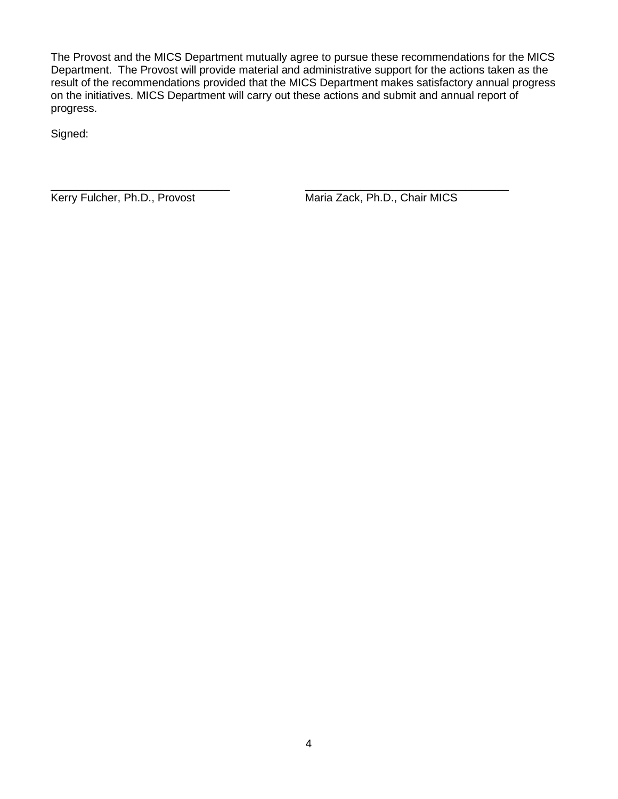The Provost and the MICS Department mutually agree to pursue these recommendations for the MICS Department. The Provost will provide material and administrative support for the actions taken as the result of the recommendations provided that the MICS Department makes satisfactory annual progress on the initiatives. MICS Department will carry out these actions and submit and annual report of progress.

Signed:

\_\_\_\_\_\_\_\_\_\_\_\_\_\_\_\_\_\_\_\_\_\_\_\_\_\_\_\_\_ \_\_\_\_\_\_\_\_\_\_\_\_\_\_\_\_\_\_\_\_\_\_\_\_\_\_\_\_\_\_\_\_\_ Kerry Fulcher, Ph.D., Provost Maria Zack, Ph.D., Chair MICS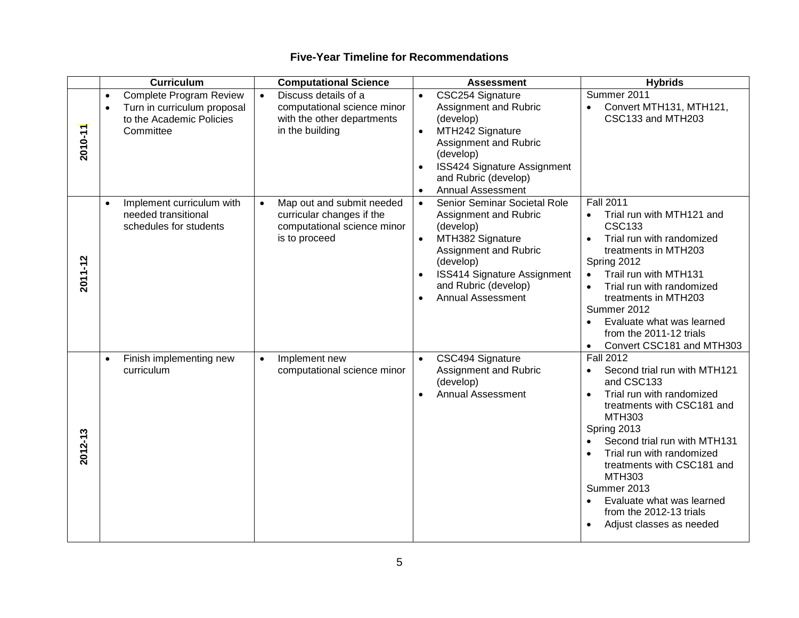|         | <b>Curriculum</b>                                                                                                         | <b>Computational Science</b>                                                                                        | <b>Assessment</b>                                                                                                                                                                                                                                       | <b>Hybrids</b>                                                                                                                                                                                                                                                                                                                                                                       |
|---------|---------------------------------------------------------------------------------------------------------------------------|---------------------------------------------------------------------------------------------------------------------|---------------------------------------------------------------------------------------------------------------------------------------------------------------------------------------------------------------------------------------------------------|--------------------------------------------------------------------------------------------------------------------------------------------------------------------------------------------------------------------------------------------------------------------------------------------------------------------------------------------------------------------------------------|
| 2010-11 | Complete Program Review<br>$\bullet$<br>Turn in curriculum proposal<br>$\bullet$<br>to the Academic Policies<br>Committee | Discuss details of a<br>$\bullet$<br>computational science minor<br>with the other departments<br>in the building   | CSC254 Signature<br>$\bullet$<br>Assignment and Rubric<br>(develop)<br>MTH242 Signature<br>$\bullet$<br>Assignment and Rubric<br>(develop)<br>ISS424 Signature Assignment<br>$\bullet$<br>and Rubric (develop)<br><b>Annual Assessment</b><br>$\bullet$ | Summer 2011<br>Convert MTH131, MTH121,<br>$\bullet$<br>CSC133 and MTH203                                                                                                                                                                                                                                                                                                             |
| 2011-12 | Implement curriculum with<br>$\bullet$<br>needed transitional<br>schedules for students                                   | Map out and submit needed<br>$\bullet$<br>curricular changes if the<br>computational science minor<br>is to proceed | Senior Seminar Societal Role<br>$\bullet$<br>Assignment and Rubric<br>(develop)<br>MTH382 Signature<br>$\bullet$<br>Assignment and Rubric<br>(develop)<br><b>ISS414 Signature Assignment</b><br>and Rubric (develop)<br><b>Annual Assessment</b>        | <b>Fall 2011</b><br>Trial run with MTH121 and<br>$\bullet$<br><b>CSC133</b><br>Trial run with randomized<br>treatments in MTH203<br>Spring 2012<br>Trail run with MTH131<br>Trial run with randomized<br>$\bullet$<br>treatments in MTH203<br>Summer 2012<br>Evaluate what was learned<br>$\bullet$<br>from the 2011-12 trials<br>Convert CSC181 and MTH303<br>$\bullet$             |
| 2012-13 | Finish implementing new<br>$\bullet$<br>curriculum                                                                        | Implement new<br>$\bullet$<br>computational science minor                                                           | CSC494 Signature<br>$\bullet$<br>Assignment and Rubric<br>(develop)<br><b>Annual Assessment</b><br>$\bullet$                                                                                                                                            | <b>Fall 2012</b><br>Second trial run with MTH121<br>$\bullet$<br>and CSC133<br>Trial run with randomized<br>$\bullet$<br>treatments with CSC181 and<br>MTH303<br>Spring 2013<br>Second trial run with MTH131<br>Trial run with randomized<br>treatments with CSC181 and<br>MTH303<br>Summer 2013<br>Evaluate what was learned<br>from the 2012-13 trials<br>Adjust classes as needed |

# **Five-Year Timeline for Recommendations**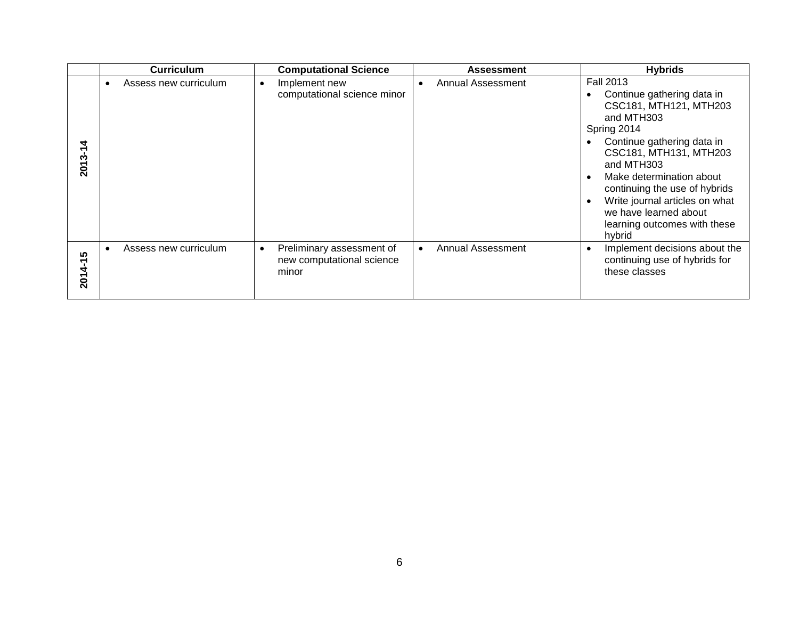|                     | <b>Curriculum</b>                  | <b>Computational Science</b>                                                 | <b>Assessment</b>                     | <b>Hybrids</b>                                                                                                                                                                                                                                                                                                                                |
|---------------------|------------------------------------|------------------------------------------------------------------------------|---------------------------------------|-----------------------------------------------------------------------------------------------------------------------------------------------------------------------------------------------------------------------------------------------------------------------------------------------------------------------------------------------|
| ۳<br>2013           | Assess new curriculum<br>$\bullet$ | Implement new<br>$\bullet$<br>computational science minor                    | <b>Annual Assessment</b><br>$\bullet$ | <b>Fall 2013</b><br>Continue gathering data in<br>CSC181, MTH121, MTH203<br>and MTH303<br>Spring 2014<br>Continue gathering data in<br>CSC181, MTH131, MTH203<br>and MTH303<br>Make determination about<br>continuing the use of hybrids<br>Write journal articles on what<br>we have learned about<br>learning outcomes with these<br>hybrid |
| <b>SC</b><br>2014-1 | Assess new curriculum              | Preliminary assessment of<br>$\bullet$<br>new computational science<br>minor | Annual Assessment                     | Implement decisions about the<br>continuing use of hybrids for<br>these classes                                                                                                                                                                                                                                                               |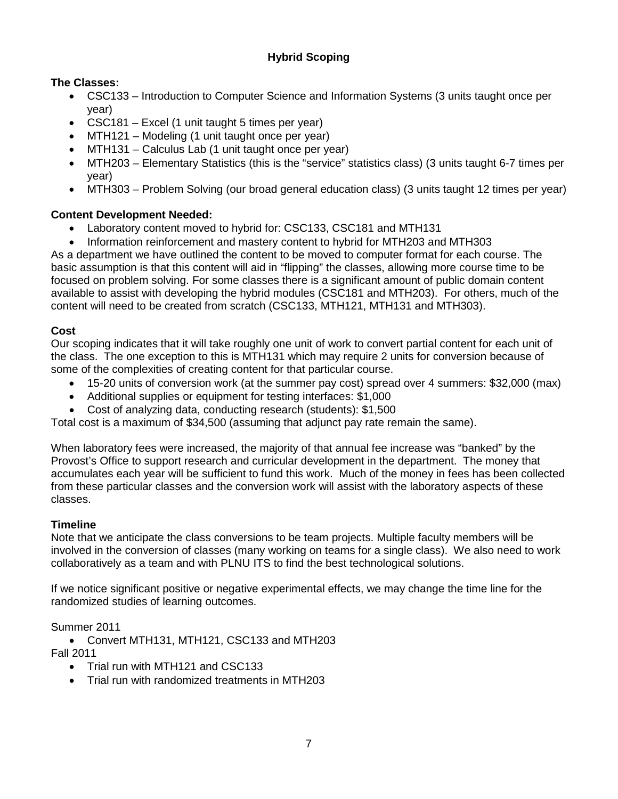## **Hybrid Scoping**

## **The Classes:**

- CSC133 Introduction to Computer Science and Information Systems (3 units taught once per year)
- CSC181 Excel (1 unit taught 5 times per year)
- MTH121 Modeling (1 unit taught once per year)
- MTH131 Calculus Lab (1 unit taught once per year)
- MTH203 Elementary Statistics (this is the "service" statistics class) (3 units taught 6-7 times per year)
- MTH303 Problem Solving (our broad general education class) (3 units taught 12 times per year)

## **Content Development Needed:**

- Laboratory content moved to hybrid for: CSC133, CSC181 and MTH131
- Information reinforcement and mastery content to hybrid for MTH203 and MTH303

As a department we have outlined the content to be moved to computer format for each course. The basic assumption is that this content will aid in "flipping" the classes, allowing more course time to be focused on problem solving. For some classes there is a significant amount of public domain content available to assist with developing the hybrid modules (CSC181 and MTH203). For others, much of the content will need to be created from scratch (CSC133, MTH121, MTH131 and MTH303).

## **Cost**

Our scoping indicates that it will take roughly one unit of work to convert partial content for each unit of the class. The one exception to this is MTH131 which may require 2 units for conversion because of some of the complexities of creating content for that particular course.

- 15-20 units of conversion work (at the summer pay cost) spread over 4 summers: \$32,000 (max)
- Additional supplies or equipment for testing interfaces: \$1,000
- Cost of analyzing data, conducting research (students): \$1,500

Total cost is a maximum of \$34,500 (assuming that adjunct pay rate remain the same).

When laboratory fees were increased, the majority of that annual fee increase was "banked" by the Provost's Office to support research and curricular development in the department. The money that accumulates each year will be sufficient to fund this work. Much of the money in fees has been collected from these particular classes and the conversion work will assist with the laboratory aspects of these classes.

#### **Timeline**

Note that we anticipate the class conversions to be team projects. Multiple faculty members will be involved in the conversion of classes (many working on teams for a single class). We also need to work collaboratively as a team and with PLNU ITS to find the best technological solutions.

If we notice significant positive or negative experimental effects, we may change the time line for the randomized studies of learning outcomes.

Summer 2011

• Convert MTH131, MTH121, CSC133 and MTH203 Fall 2011

• Trial run with MTH121 and CSC133

• Trial run with randomized treatments in MTH203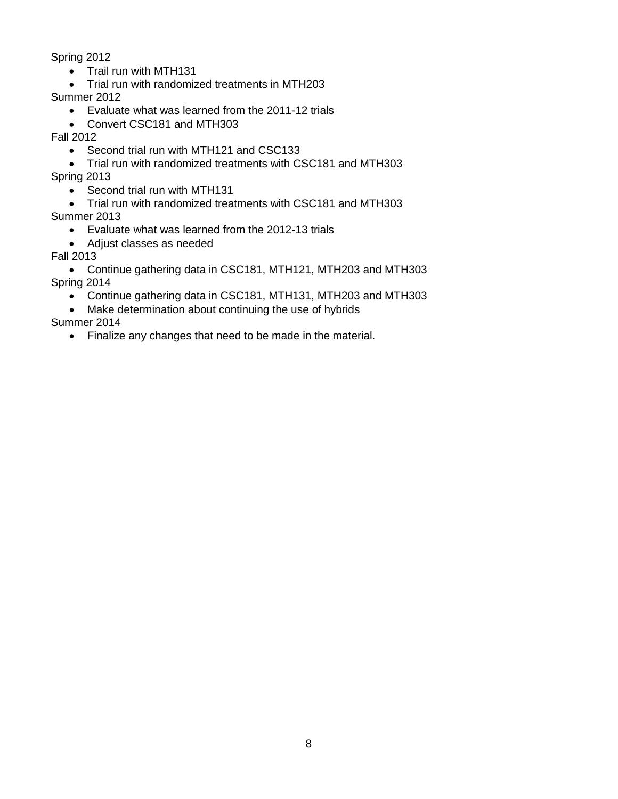Spring 2012

- Trail run with MTH131
- Trial run with randomized treatments in MTH203

Summer 2012

- Evaluate what was learned from the 2011-12 trials
- Convert CSC181 and MTH303

Fall 2012

• Second trial run with MTH121 and CSC133

• Trial run with randomized treatments with CSC181 and MTH303 Spring 2013

• Second trial run with MTH131

• Trial run with randomized treatments with CSC181 and MTH303 Summer 2013

• Evaluate what was learned from the 2012-13 trials

• Adjust classes as needed

Fall 2013

• Continue gathering data in CSC181, MTH121, MTH203 and MTH303 Spring 2014

• Continue gathering data in CSC181, MTH131, MTH203 and MTH303

• Make determination about continuing the use of hybrids

Summer 2014

• Finalize any changes that need to be made in the material.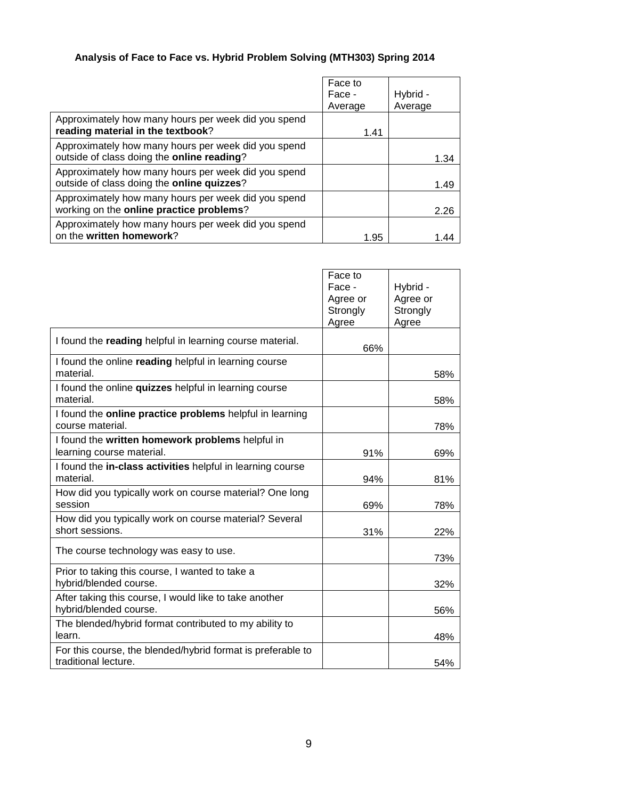# **Analysis of Face to Face vs. Hybrid Problem Solving (MTH303) Spring 2014**

|                                                                                                   | Face to<br>Face - | Hybrid - |
|---------------------------------------------------------------------------------------------------|-------------------|----------|
| Approximately how many hours per week did you spend<br>reading material in the textbook?          | Average<br>1.41   | Average  |
| Approximately how many hours per week did you spend<br>outside of class doing the online reading? |                   | 1.34     |
| Approximately how many hours per week did you spend<br>outside of class doing the online quizzes? |                   | 1.49     |
| Approximately how many hours per week did you spend<br>working on the online practice problems?   |                   | 2.26     |
| Approximately how many hours per week did you spend<br>on the written homework?                   | 1.95              | 1 44     |

|                                                                                     | Face to<br>Face -<br>Agree or<br>Strongly<br>Agree | Hybrid -<br>Agree or<br>Strongly<br>Agree |
|-------------------------------------------------------------------------------------|----------------------------------------------------|-------------------------------------------|
| I found the reading helpful in learning course material.                            | 66%                                                |                                           |
| I found the online reading helpful in learning course<br>material.                  |                                                    | 58%                                       |
| I found the online quizzes helpful in learning course<br>material.                  |                                                    | 58%                                       |
| I found the online practice problems helpful in learning<br>course material.        |                                                    | 78%                                       |
| I found the written homework problems helpful in<br>learning course material.       | 91%                                                | 69%                                       |
| I found the in-class activities helpful in learning course<br>material.             | 94%                                                | 81%                                       |
| How did you typically work on course material? One long<br>session                  | 69%                                                | 78%                                       |
| How did you typically work on course material? Several<br>short sessions.           | 31%                                                | 22%                                       |
| The course technology was easy to use.                                              |                                                    | 73%                                       |
| Prior to taking this course, I wanted to take a<br>hybrid/blended course.           |                                                    | 32%                                       |
| After taking this course, I would like to take another<br>hybrid/blended course.    |                                                    | 56%                                       |
| The blended/hybrid format contributed to my ability to<br>learn.                    |                                                    | 48%                                       |
| For this course, the blended/hybrid format is preferable to<br>traditional lecture. |                                                    | 54%                                       |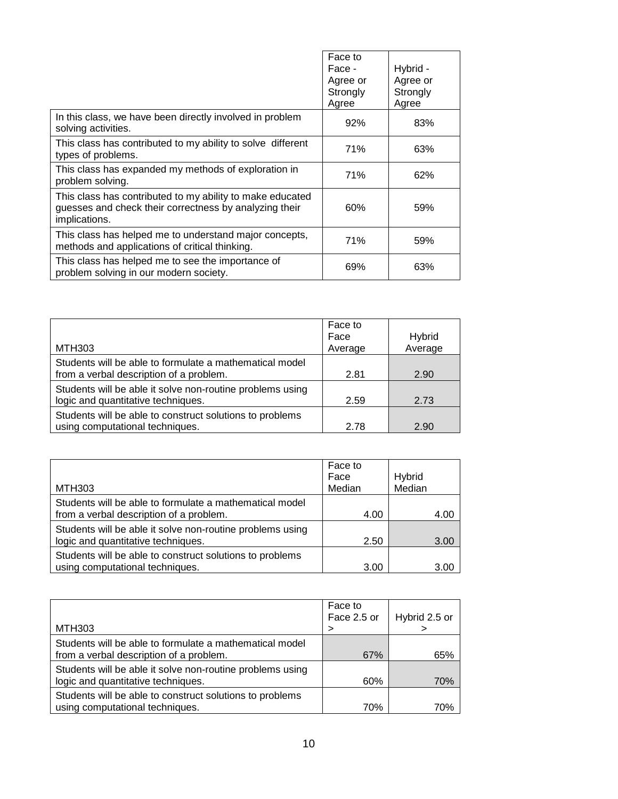|                                                                                                                                      | Face to<br>Face -<br>Agree or<br>Strongly<br>Agree | Hybrid -<br>Agree or<br>Strongly<br>Agree |
|--------------------------------------------------------------------------------------------------------------------------------------|----------------------------------------------------|-------------------------------------------|
| In this class, we have been directly involved in problem<br>solving activities.                                                      | 92%                                                | 83%                                       |
| This class has contributed to my ability to solve different<br>types of problems.                                                    | 71%                                                | 63%                                       |
| This class has expanded my methods of exploration in<br>problem solving.                                                             | 71%                                                | 62%                                       |
| This class has contributed to my ability to make educated<br>guesses and check their correctness by analyzing their<br>implications. | 60%                                                | 59%                                       |
| This class has helped me to understand major concepts,<br>methods and applications of critical thinking.                             | 71%                                                | 59%                                       |
| This class has helped me to see the importance of<br>problem solving in our modern society.                                          | 69%                                                | 63%                                       |

| <b>MTH303</b>                                                                                      | Face to<br>Face<br>Average | <b>Hybrid</b><br>Average |
|----------------------------------------------------------------------------------------------------|----------------------------|--------------------------|
| Students will be able to formulate a mathematical model<br>from a verbal description of a problem. | 2.81                       | 2.90                     |
| Students will be able it solve non-routine problems using<br>logic and quantitative techniques.    | 2.59                       | 2.73                     |
| Students will be able to construct solutions to problems<br>using computational techniques.        | 2.78                       | 2.90                     |

| <b>MTH303</b>                                                                                      | Face to<br>Face<br>Median | Hybrid<br>Median |
|----------------------------------------------------------------------------------------------------|---------------------------|------------------|
| Students will be able to formulate a mathematical model<br>from a verbal description of a problem. | 4.00                      | 4.00             |
| Students will be able it solve non-routine problems using<br>logic and quantitative techniques.    | 2.50                      | 3.00             |
| Students will be able to construct solutions to problems<br>using computational techniques.        | 3.00                      | 3.00             |

|                                                                                                    | Face to<br>Face 2.5 or | Hybrid 2.5 or |
|----------------------------------------------------------------------------------------------------|------------------------|---------------|
| MTH303                                                                                             |                        |               |
| Students will be able to formulate a mathematical model<br>from a verbal description of a problem. | 67%                    | 65%           |
| Students will be able it solve non-routine problems using<br>logic and quantitative techniques.    | 60%                    | 70%           |
| Students will be able to construct solutions to problems<br>using computational techniques.        | 70%                    | 70%           |